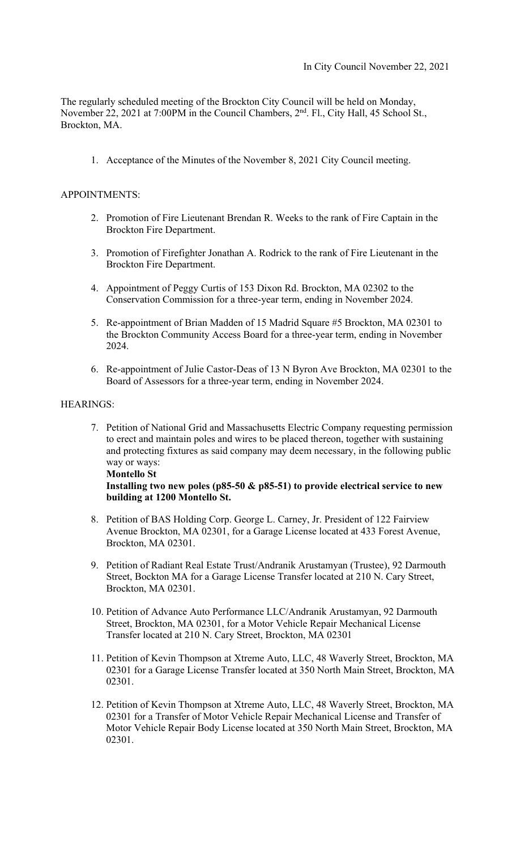The regularly scheduled meeting of the Brockton City Council will be held on Monday, November 22, 2021 at 7:00PM in the Council Chambers, 2<sup>nd</sup>. Fl., City Hall, 45 School St., Brockton, MA.

1. Acceptance of the Minutes of the November 8, 2021 City Council meeting.

## APPOINTMENTS:

- 2. Promotion of Fire Lieutenant Brendan R. Weeks to the rank of Fire Captain in the Brockton Fire Department.
- 3. Promotion of Firefighter Jonathan A. Rodrick to the rank of Fire Lieutenant in the Brockton Fire Department.
- 4. Appointment of Peggy Curtis of 153 Dixon Rd. Brockton, MA 02302 to the Conservation Commission for a three-year term, ending in November 2024.
- 5. Re-appointment of Brian Madden of 15 Madrid Square #5 Brockton, MA 02301 to the Brockton Community Access Board for a three-year term, ending in November 2024.
- 6. Re-appointment of Julie Castor-Deas of 13 N Byron Ave Brockton, MA 02301 to the Board of Assessors for a three-year term, ending in November 2024.

### HEARINGS:

7. Petition of National Grid and Massachusetts Electric Company requesting permission to erect and maintain poles and wires to be placed thereon, together with sustaining and protecting fixtures as said company may deem necessary, in the following public way or ways: **Montello St** 

# **Installing two new poles (p85-50 & p85-51) to provide electrical service to new building at 1200 Montello St.**

- 8. Petition of BAS Holding Corp. George L. Carney, Jr. President of 122 Fairview Avenue Brockton, MA 02301, for a Garage License located at 433 Forest Avenue, Brockton, MA 02301.
- 9. Petition of Radiant Real Estate Trust/Andranik Arustamyan (Trustee), 92 Darmouth Street, Bockton MA for a Garage License Transfer located at 210 N. Cary Street, Brockton, MA 02301.
- 10. Petition of Advance Auto Performance LLC/Andranik Arustamyan, 92 Darmouth Street, Brockton, MA 02301, for a Motor Vehicle Repair Mechanical License Transfer located at 210 N. Cary Street, Brockton, MA 02301
- 11. Petition of Kevin Thompson at Xtreme Auto, LLC, 48 Waverly Street, Brockton, MA 02301 for a Garage License Transfer located at 350 North Main Street, Brockton, MA 02301.
- 12. Petition of Kevin Thompson at Xtreme Auto, LLC, 48 Waverly Street, Brockton, MA 02301 for a Transfer of Motor Vehicle Repair Mechanical License and Transfer of Motor Vehicle Repair Body License located at 350 North Main Street, Brockton, MA 02301.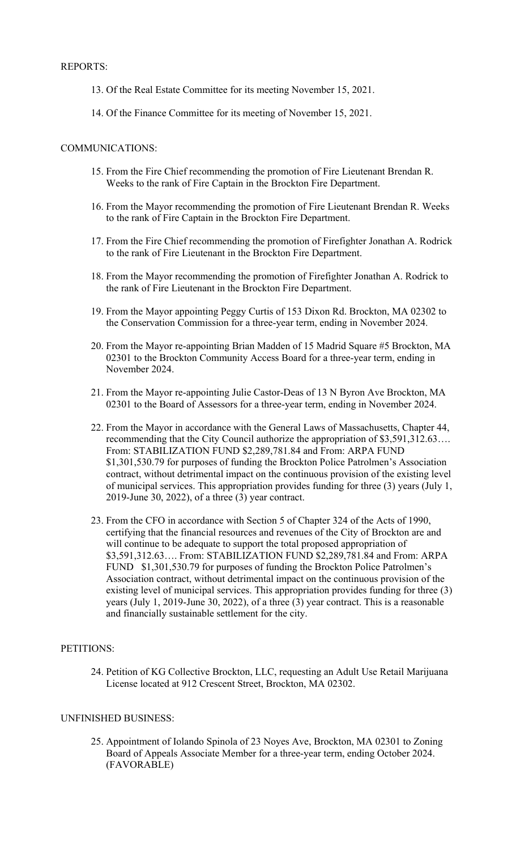### REPORTS:

- 13. Of the Real Estate Committee for its meeting November 15, 2021.
- 14. Of the Finance Committee for its meeting of November 15, 2021.

#### COMMUNICATIONS:

- 15. From the Fire Chief recommending the promotion of Fire Lieutenant Brendan R. Weeks to the rank of Fire Captain in the Brockton Fire Department.
- 16. From the Mayor recommending the promotion of Fire Lieutenant Brendan R. Weeks to the rank of Fire Captain in the Brockton Fire Department.
- 17. From the Fire Chief recommending the promotion of Firefighter Jonathan A. Rodrick to the rank of Fire Lieutenant in the Brockton Fire Department.
- 18. From the Mayor recommending the promotion of Firefighter Jonathan A. Rodrick to the rank of Fire Lieutenant in the Brockton Fire Department.
- 19. From the Mayor appointing Peggy Curtis of 153 Dixon Rd. Brockton, MA 02302 to the Conservation Commission for a three-year term, ending in November 2024.
- 20. From the Mayor re-appointing Brian Madden of 15 Madrid Square #5 Brockton, MA 02301 to the Brockton Community Access Board for a three-year term, ending in November 2024.
- 21. From the Mayor re-appointing Julie Castor-Deas of 13 N Byron Ave Brockton, MA 02301 to the Board of Assessors for a three-year term, ending in November 2024.
- 22. From the Mayor in accordance with the General Laws of Massachusetts, Chapter 44, recommending that the City Council authorize the appropriation of \$3,591,312.63…. From: STABILIZATION FUND \$2,289,781.84 and From: ARPA FUND \$1,301,530.79 for purposes of funding the Brockton Police Patrolmen's Association contract, without detrimental impact on the continuous provision of the existing level of municipal services. This appropriation provides funding for three (3) years (July 1, 2019-June 30, 2022), of a three (3) year contract.
- 23. From the CFO in accordance with Section 5 of Chapter 324 of the Acts of 1990, certifying that the financial resources and revenues of the City of Brockton are and will continue to be adequate to support the total proposed appropriation of \$3,591,312.63…. From: STABILIZATION FUND \$2,289,781.84 and From: ARPA FUND \$1,301,530.79 for purposes of funding the Brockton Police Patrolmen's Association contract, without detrimental impact on the continuous provision of the existing level of municipal services. This appropriation provides funding for three (3) years (July 1, 2019-June 30, 2022), of a three (3) year contract. This is a reasonable and financially sustainable settlement for the city.

#### PETITIONS:

24. Petition of KG Collective Brockton, LLC, requesting an Adult Use Retail Marijuana License located at 912 Crescent Street, Brockton, MA 02302.

### UNFINISHED BUSINESS:

25. Appointment of Iolando Spinola of 23 Noyes Ave, Brockton, MA 02301 to Zoning Board of Appeals Associate Member for a three-year term, ending October 2024. (FAVORABLE)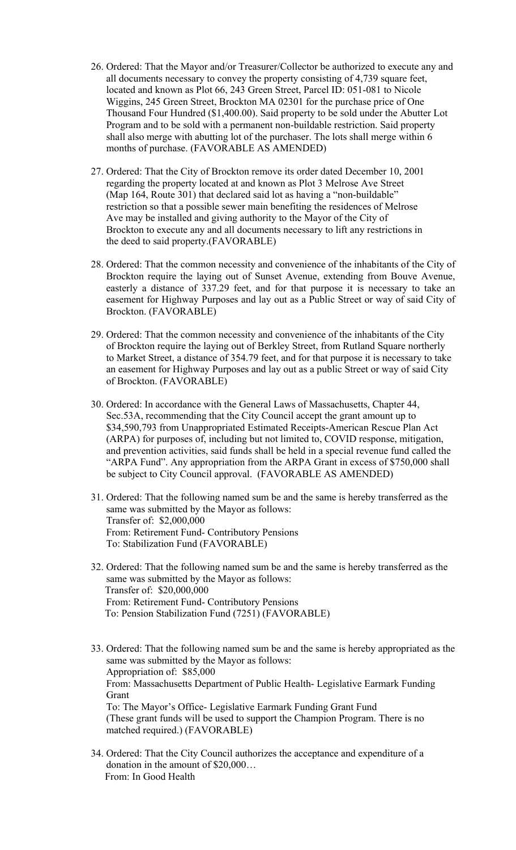- 26. Ordered: That the Mayor and/or Treasurer/Collector be authorized to execute any and all documents necessary to convey the property consisting of 4,739 square feet, located and known as Plot 66, 243 Green Street, Parcel ID: 051-081 to Nicole Wiggins, 245 Green Street, Brockton MA 02301 for the purchase price of One Thousand Four Hundred (\$1,400.00). Said property to be sold under the Abutter Lot Program and to be sold with a permanent non-buildable restriction. Said property shall also merge with abutting lot of the purchaser. The lots shall merge within 6 months of purchase. (FAVORABLE AS AMENDED)
- 27. Ordered: That the City of Brockton remove its order dated December 10, 2001 regarding the property located at and known as Plot 3 Melrose Ave Street (Map 164, Route 301) that declared said lot as having a "non-buildable" restriction so that a possible sewer main benefiting the residences of Melrose Ave may be installed and giving authority to the Mayor of the City of Brockton to execute any and all documents necessary to lift any restrictions in the deed to said property.(FAVORABLE)
- easement for Highway Purposes and lay out as a Public Street or way of said City of 28. Ordered: That the common necessity and convenience of the inhabitants of the City of Brockton require the laying out of Sunset Avenue, extending from Bouve Avenue, easterly a distance of 337.29 feet, and for that purpose it is necessary to take an Brockton. (FAVORABLE)
- 29. Ordered: That the common necessity and convenience of the inhabitants of the City of Brockton require the laying out of Berkley Street, from Rutland Square northerly to Market Street, a distance of 354.79 feet, and for that purpose it is necessary to take an easement for Highway Purposes and lay out as a public Street or way of said City of Brockton. (FAVORABLE)
- 30. Ordered: In accordance with the General Laws of Massachusetts, Chapter 44, Sec.53A, recommending that the City Council accept the grant amount up to \$34,590,793 from Unappropriated Estimated Receipts-American Rescue Plan Act (ARPA) for purposes of, including but not limited to, COVID response, mitigation, and prevention activities, said funds shall be held in a special revenue fund called the "ARPA Fund". Any appropriation from the ARPA Grant in excess of \$750,000 shall be subject to City Council approval. (FAVORABLE AS AMENDED)
- 31. Ordered: That the following named sum be and the same is hereby transferred as the same was submitted by the Mayor as follows: Transfer of: \$2,000,000 From: Retirement Fund- Contributory Pensions To: Stabilization Fund (FAVORABLE)
- 32. Ordered: That the following named sum be and the same is hereby transferred as the same was submitted by the Mayor as follows: Transfer of: \$20,000,000 From: Retirement Fund- Contributory Pensions To: Pension Stabilization Fund (7251) (FAVORABLE)
- 33. Ordered: That the following named sum be and the same is hereby appropriated as the same was submitted by the Mayor as follows: Appropriation of: \$85,000 From: Massachusetts Department of Public Health- Legislative Earmark Funding Grant To: The Mayor's Office- Legislative Earmark Funding Grant Fund (These grant funds will be used to support the Champion Program. There is no matched required.) (FAVORABLE)
- 34. Ordered: That the City Council authorizes the acceptance and expenditure of a donation in the amount of \$20,000… From: In Good Health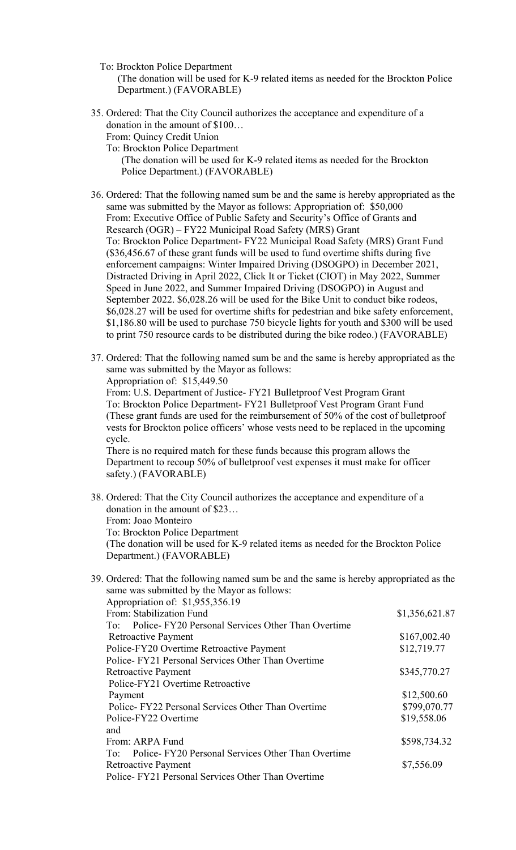- To: Brockton Police Department (The donation will be used for K-9 related items as needed for the Brockton Police Department.) (FAVORABLE)
- 35. Ordered: That the City Council authorizes the acceptance and expenditure of a donation in the amount of \$100… From: Quincy Credit Union

To: Brockton Police Department

(The donation will be used for K-9 related items as needed for the Brockton Police Department.) (FAVORABLE)

36. Ordered: That the following named sum be and the same is hereby appropriated as the same was submitted by the Mayor as follows: Appropriation of: \$50,000 From: Executive Office of Public Safety and Security's Office of Grants and Research (OGR) – FY22 Municipal Road Safety (MRS) Grant To: Brockton Police Department- FY22 Municipal Road Safety (MRS) Grant Fund (\$36,456.67 of these grant funds will be used to fund overtime shifts during five enforcement campaigns: Winter Impaired Driving (DSOGPO) in December 2021, Distracted Driving in April 2022, Click It or Ticket (CIOT) in May 2022, Summer Speed in June 2022, and Summer Impaired Driving (DSOGPO) in August and September 2022. \$6,028.26 will be used for the Bike Unit to conduct bike rodeos, \$6,028.27 will be used for overtime shifts for pedestrian and bike safety enforcement, \$1,186.80 will be used to purchase 750 bicycle lights for youth and \$300 will be used to print 750 resource cards to be distributed during the bike rodeo.) (FAVORABLE)

| 37. Ordered: That the following named sum be and the same is hereby appropriated as the<br>same was submitted by the Mayor as follows:<br>Appropriation of: \$15,449.50                                                                                                                                                                   |                |
|-------------------------------------------------------------------------------------------------------------------------------------------------------------------------------------------------------------------------------------------------------------------------------------------------------------------------------------------|----------------|
| From: U.S. Department of Justice- FY21 Bulletproof Vest Program Grant<br>To: Brockton Police Department- FY21 Bulletproof Vest Program Grant Fund<br>(These grant funds are used for the reimbursement of 50% of the cost of bulletproof<br>vests for Brockton police officers' whose vests need to be replaced in the upcoming<br>cycle. |                |
| There is no required match for these funds because this program allows the<br>Department to recoup 50% of bulletproof vest expenses it must make for officer<br>safety.) (FAVORABLE)                                                                                                                                                      |                |
| 38. Ordered: That the City Council authorizes the acceptance and expenditure of a<br>donation in the amount of \$23                                                                                                                                                                                                                       |                |
| From: Joao Monteiro                                                                                                                                                                                                                                                                                                                       |                |
| To: Brockton Police Department                                                                                                                                                                                                                                                                                                            |                |
| (The donation will be used for K-9 related items as needed for the Brockton Police<br>Department.) (FAVORABLE)                                                                                                                                                                                                                            |                |
| 39. Ordered: That the following named sum be and the same is hereby appropriated as the<br>same was submitted by the Mayor as follows:                                                                                                                                                                                                    |                |
| Appropriation of: \$1,955,356.19<br>From: Stabilization Fund                                                                                                                                                                                                                                                                              | \$1,356,621.87 |
| To: Police-FY20 Personal Services Other Than Overtime                                                                                                                                                                                                                                                                                     |                |
| <b>Retroactive Payment</b>                                                                                                                                                                                                                                                                                                                | \$167,002.40   |
| Police-FY20 Overtime Retroactive Payment                                                                                                                                                                                                                                                                                                  | \$12,719.77    |
| Police-FY21 Personal Services Other Than Overtime                                                                                                                                                                                                                                                                                         |                |
| <b>Retroactive Payment</b>                                                                                                                                                                                                                                                                                                                | \$345,770.27   |
| Police-FY21 Overtime Retroactive                                                                                                                                                                                                                                                                                                          |                |
| Payment                                                                                                                                                                                                                                                                                                                                   | \$12,500.60    |
| Police-FY22 Personal Services Other Than Overtime                                                                                                                                                                                                                                                                                         | \$799,070.77   |
| Police-FY22 Overtime<br>and                                                                                                                                                                                                                                                                                                               | \$19,558.06    |
| From: ARPA Fund                                                                                                                                                                                                                                                                                                                           | \$598,734.32   |
| Police-FY20 Personal Services Other Than Overtime<br>To:                                                                                                                                                                                                                                                                                  |                |
| <b>Retroactive Payment</b>                                                                                                                                                                                                                                                                                                                | \$7,556.09     |
| Police-FY21 Personal Services Other Than Overtime                                                                                                                                                                                                                                                                                         |                |
|                                                                                                                                                                                                                                                                                                                                           |                |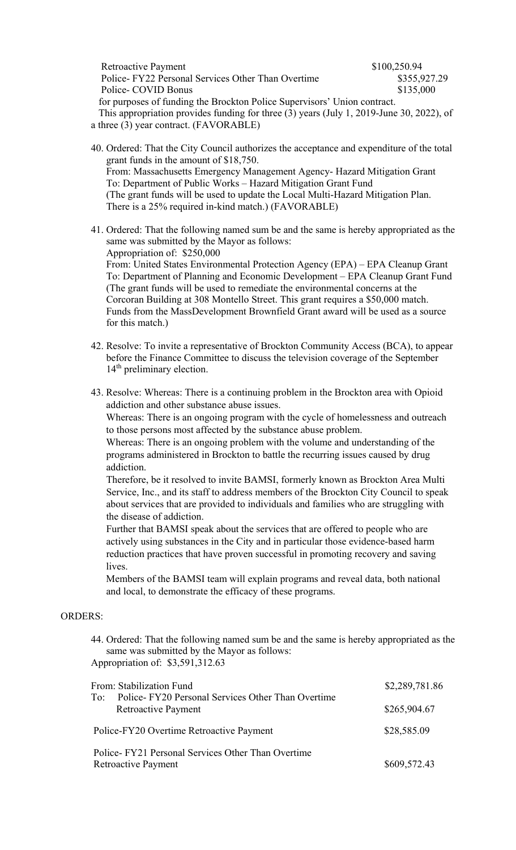| Retroactive Payment                                                                      | \$100,250.94 |  |
|------------------------------------------------------------------------------------------|--------------|--|
| Police-FY22 Personal Services Other Than Overtime                                        | \$355,927.29 |  |
| Police- COVID Bonus                                                                      | \$135,000    |  |
| for purposes of funding the Brockton Police Supervisors' Union contract.                 |              |  |
| This appropriation provides funding for three (3) years (July 1, 2019-June 30, 2022), of |              |  |

a three (3) year contract. (FAVORABLE)

14<sup>th</sup> preliminary election.

- 40. Ordered: That the City Council authorizes the acceptance and expenditure of the total grant funds in the amount of \$18,750. From: Massachusetts Emergency Management Agency- Hazard Mitigation Grant To: Department of Public Works – Hazard Mitigation Grant Fund (The grant funds will be used to update the Local Multi-Hazard Mitigation Plan. There is a 25% required in-kind match.) (FAVORABLE)
- 41. Ordered: That the following named sum be and the same is hereby appropriated as the same was submitted by the Mayor as follows: Appropriation of: \$250,000 From: United States Environmental Protection Agency (EPA) – EPA Cleanup Grant To: Department of Planning and Economic Development – EPA Cleanup Grant Fund (The grant funds will be used to remediate the environmental concerns at the Corcoran Building at 308 Montello Street. This grant requires a \$50,000 match. Funds from the MassDevelopment Brownfield Grant award will be used as a source
- for this match.) 42. Resolve: To invite a representative of Brockton Community Access (BCA), to appear before the Finance Committee to discuss the television coverage of the September
- 43. Resolve: Whereas: There is a continuing problem in the Brockton area with Opioid addiction and other substance abuse issues.

Whereas: There is an ongoing program with the cycle of homelessness and outreach to those persons most affected by the substance abuse problem.

Whereas: There is an ongoing problem with the volume and understanding of the programs administered in Brockton to battle the recurring issues caused by drug addiction.

Therefore, be it resolved to invite BAMSI, formerly known as Brockton Area Multi Service, Inc., and its staff to address members of the Brockton City Council to speak about services that are provided to individuals and families who are struggling with the disease of addiction.

Further that BAMSI speak about the services that are offered to people who are actively using substances in the City and in particular those evidence-based harm reduction practices that have proven successful in promoting recovery and saving lives.

Members of the BAMSI team will explain programs and reveal data, both national and local, to demonstrate the efficacy of these programs.

# ORDERS:

44. Ordered: That the following named sum be and the same is hereby appropriated as the same was submitted by the Mayor as follows: Appropriation of: \$3,591,312.63

| From: Stabilization Fund<br>Police-FY20 Personal Services Other Than Overtime<br>To:<br><b>Retroactive Payment</b> | \$2,289,781.86 |
|--------------------------------------------------------------------------------------------------------------------|----------------|
|                                                                                                                    | \$265,904.67   |
| Police-FY20 Overtime Retroactive Payment                                                                           | \$28,585.09    |
| Police-FY21 Personal Services Other Than Overtime<br><b>Retroactive Payment</b>                                    | \$609,572.43   |